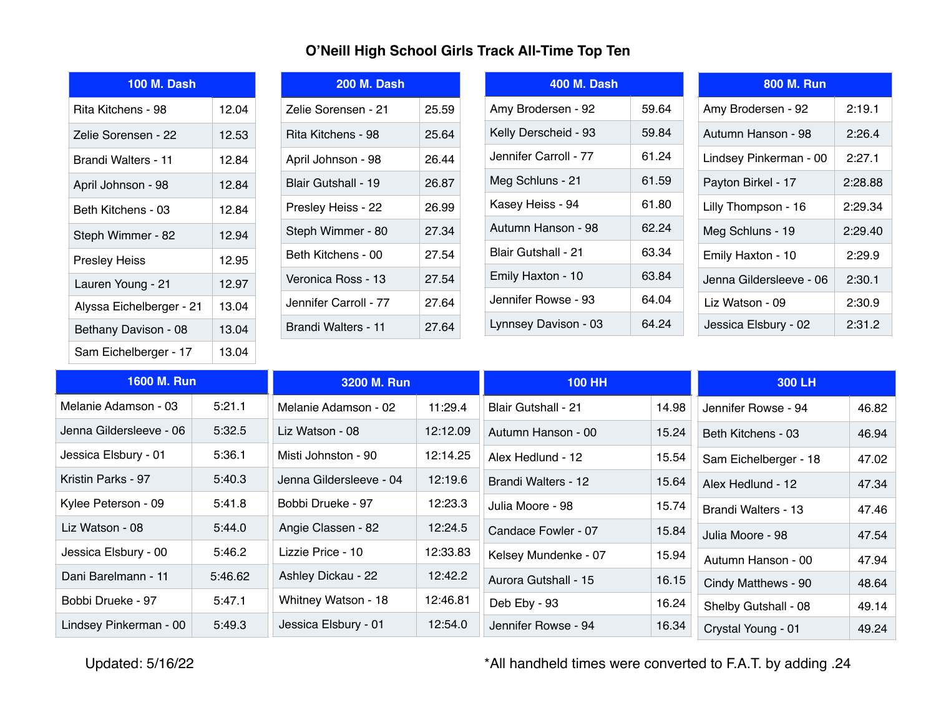## **O'Neill High School Girls Track All-Time Top Ten**

| <b>100 M. Dash</b>       |       |  |  |
|--------------------------|-------|--|--|
| Rita Kitchens - 98       | 12.04 |  |  |
| Zelie Sorensen - 22      | 12.53 |  |  |
| Brandi Walters - 11      | 12.84 |  |  |
| April Johnson - 98       | 12.84 |  |  |
| Beth Kitchens - 03       | 12.84 |  |  |
| Steph Wimmer - 82        | 12.94 |  |  |
| <b>Presley Heiss</b>     | 12.95 |  |  |
| Lauren Young - 21        | 12.97 |  |  |
| Alyssa Eichelberger - 21 | 13.04 |  |  |
| Bethany Davison - 08     | 13.04 |  |  |
| Sam Eichelberger - 17    | 13.04 |  |  |

| <b>200 M. Dash</b>    |       |
|-----------------------|-------|
| Zelie Sorensen - 21   | 25.59 |
| Rita Kitchens - 98    | 25.64 |
| April Johnson - 98    | 26.44 |
| Blair Gutshall - 19   | 26.87 |
| Presley Heiss - 22    | 26.99 |
| Steph Wimmer - 80     | 27.34 |
| Beth Kitchens - 00    | 27.54 |
| Veronica Ross - 13    | 27.54 |
| Jennifer Carroll - 77 | 27.64 |
| Brandi Walters - 11   | 27.64 |

| 400 M. Dash           |       |
|-----------------------|-------|
| Amy Brodersen - 92    | 59.64 |
| Kelly Derscheid - 93  | 59.84 |
| Jennifer Carroll - 77 | 61 24 |
| Meg Schluns - 21      | 61.59 |
| Kasey Heiss - 94      | 61.80 |
| Autumn Hanson - 98    | 62 24 |
| Blair Gutshall - 21   | 63.34 |
| Emily Haxton - 10     | 63.84 |
| Jennifer Rowse - 93   | 64.04 |
| Lynnsey Davison - 03  | 64 24 |

| <b>800 M. Run</b>       |         |
|-------------------------|---------|
| Amy Brodersen - 92      | 2:19.1  |
| Autumn Hanson - 98      | 2:26.4  |
| Lindsey Pinkerman - 00  | 2.271   |
| Payton Birkel - 17      | 2:28.88 |
| Lilly Thompson - 16     | 2:29.34 |
| Meg Schluns - 19        | 2:29.40 |
| Emily Haxton - 10       | 2:29.9  |
| Jenna Gildersleeve - 06 | 2:30.1  |
| Liz Watson - 09         | 2:30.9  |
| Jessica Elsbury - 02    | 2:31.2  |

| 1600 M. Run             |         | 3200 M. Run             |          | <b>100 HH</b>              |       | 300 LH                |       |
|-------------------------|---------|-------------------------|----------|----------------------------|-------|-----------------------|-------|
| Melanie Adamson - 03    | 5:21.1  | Melanie Adamson - 02    | 11:29.4  | <b>Blair Gutshall - 21</b> | 14.98 | Jennifer Rowse - 94   | 46.82 |
| Jenna Gildersleeve - 06 | 5:32.5  | Liz Watson - 08         | 12:12.09 | Autumn Hanson - 00         | 15.24 | Beth Kitchens - 03    | 46.94 |
| Jessica Elsbury - 01    | 5:36.1  | Misti Johnston - 90     | 12:14.25 | Alex Hedlund - 12          | 15.54 | Sam Eichelberger - 18 | 47.02 |
| Kristin Parks - 97      | 5:40.3  | Jenna Gildersleeve - 04 | 12:19.6  | Brandi Walters - 12        | 15.64 | Alex Hedlund - 12     | 47.34 |
| Kylee Peterson - 09     | 5:41.8  | Bobbi Drueke - 97       | 12:23.3  | Julia Moore - 98           | 15.74 | Brandi Walters - 13   | 47.46 |
| Liz Watson - 08         | 5:44.0  | Angie Classen - 82      | 12:24.5  | Candace Fowler - 07        | 15.84 | Julia Moore - 98      | 47.54 |
| Jessica Elsbury - 00    | 5:46.2  | Lizzie Price - 10       | 12:33.83 | Kelsey Mundenke - 07       | 15.94 | Autumn Hanson - 00    | 47.94 |
| Dani Barelmann - 11     | 5:46.62 | Ashley Dickau - 22      | 12:42.2  | Aurora Gutshall - 15       | 16.15 | Cindy Matthews - 90   | 48.64 |
| Bobbi Drueke - 97       | 5:47.1  | Whitney Watson - 18     | 12:46.81 | Deb Eby - 93               | 16.24 | Shelby Gutshall - 08  | 49.14 |
| Lindsey Pinkerman - 00  | 5:49.3  | Jessica Elsbury - 01    | 12:54.0  | Jennifer Rowse - 94        | 16.34 | Crystal Young - 01    | 49.24 |

Updated: 5/16/22 **\*All handheld times were converted to F.A.T. by adding .24**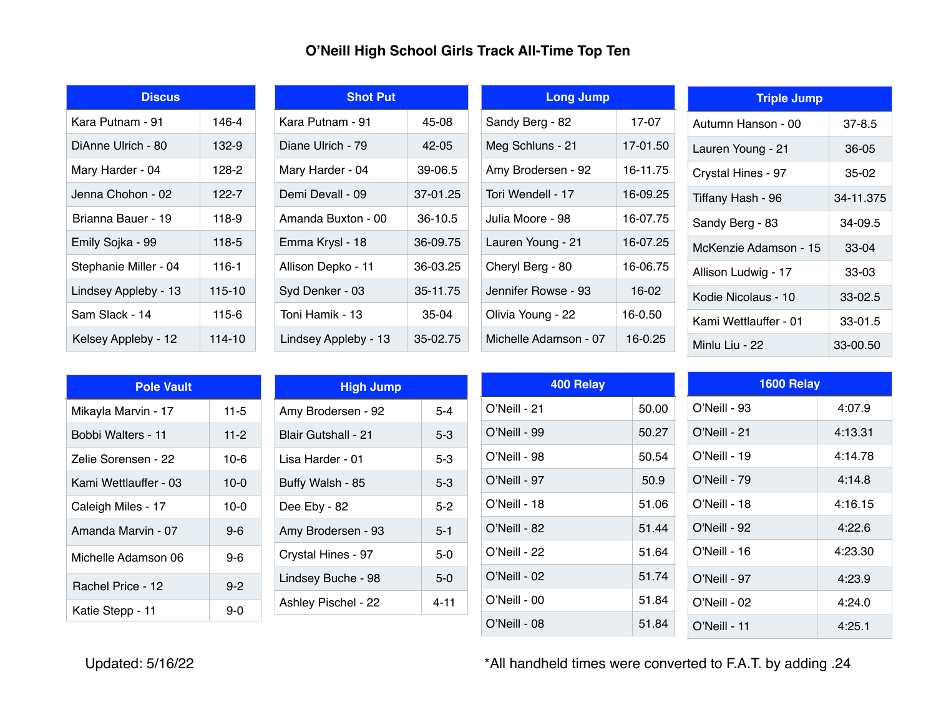## **O'Neill High School Girls Track All-Time Top Ten**

| Discus                |            |  |  |  |
|-----------------------|------------|--|--|--|
| Kara Putnam - 91      | 146-4      |  |  |  |
| DiAnne Ulrich - 80    | 132-9      |  |  |  |
| Mary Harder - 04      | 128-2      |  |  |  |
| Jenna Chohon - 02     | 122-7      |  |  |  |
| Brianna Bauer - 19    | 118-9      |  |  |  |
| Emily Sojka - 99      | 118-5      |  |  |  |
| Stephanie Miller - 04 | $116 - 1$  |  |  |  |
| Lindsey Appleby - 13  | $115 - 10$ |  |  |  |
| Sam Slack - 14        | 115-6      |  |  |  |
| Kelsey Appleby - 12   | $114 - 10$ |  |  |  |

| <b>Shot Put</b>      |           |  |  |
|----------------------|-----------|--|--|
| Kara Putnam - 91     | 45-08     |  |  |
| Diane Ulrich - 79    | $42 - 05$ |  |  |
| Mary Harder - 04     | 39-06.5   |  |  |
| Demi Devall - 09     | 37-01.25  |  |  |
| Amanda Buxton - 00   | 36-10.5   |  |  |
| Emma Krysl - 18      | 36-09.75  |  |  |
| Allison Depko - 11   | 36-03.25  |  |  |
| Syd Denker - 03      | 35-11.75  |  |  |
| Toni Hamik - 13      | 35-04     |  |  |
| Lindsey Appleby - 13 | 35-02.75  |  |  |

| <b>Long Jump</b>      |          |  |  |
|-----------------------|----------|--|--|
| Sandy Berg - 82       | 17-07    |  |  |
| Meg Schluns - 21      | 17-01.50 |  |  |
| Amy Brodersen - 92    | 16-11.75 |  |  |
| Tori Wendell - 17     | 16-09.25 |  |  |
| Julia Moore - 98      | 16-07.75 |  |  |
| Lauren Young - 21     | 16-07.25 |  |  |
| Cheryl Berg - 80      | 16-06.75 |  |  |
| Jennifer Rowse - 93   | 16-02    |  |  |
| Olivia Young - 22     | 16-0.50  |  |  |
| Michelle Adamson - 07 | 16-0.25  |  |  |

| <b>Triple Jump</b>    |             |
|-----------------------|-------------|
| Autumn Hanson - 00    | $37 - 8.5$  |
| Lauren Young - 21     | 36-05       |
| Crystal Hines - 97    | 35-02       |
| Tiffany Hash - 96     | 34-11.375   |
| Sandy Berg - 83       | $34 - 09.5$ |
| McKenzie Adamson - 15 | $33-04$     |
| Allison Ludwig - 17   | 33-03       |
| Kodie Nicolaus - 10   | $33 - 02.5$ |
| Kami Wettlauffer - 01 | $33-01.5$   |
| Minlu Liu - 22        | 33-00.50    |

| <b>Pole Vault</b>     |          |
|-----------------------|----------|
| Mikayla Marvin - 17   | 11-5     |
| Bobbi Walters - 11    | $11 - 2$ |
| Zelie Sorensen - 22   | 10-6     |
| Kami Wettlauffer - 03 | $10-0$   |
| Caleigh Miles - 17    | 10-0     |
| Amanda Marvin - 07    | $9-6$    |
| Michelle Adamson 06   | 9-6      |
| Rachel Price - 12     | $9 - 2$  |
| Katie Stepp - 11      | 9-0      |

| <b>High Jump</b>           |         |
|----------------------------|---------|
| Amy Brodersen - 92         | $5 - 4$ |
| <b>Blair Gutshall - 21</b> | 5-3     |
| Lisa Harder - 01           | 5-3     |
| Buffy Walsh - 85           | 5-3     |
| Dee Eby - 82               | 5-2     |
| Amy Brodersen - 93         | $5 - 1$ |
| Crystal Hines - 97         | 5-0     |
| Lindsey Buche - 98         | $5-0$   |
| Ashley Pischel - 22        | 4-11    |

| 400 Relay       |       | 1600 Relay      |         |  |
|-----------------|-------|-----------------|---------|--|
| $O'$ Neill - 21 | 50.00 | O'Neill - 93    | 4:07.9  |  |
| O'Neill - 99    | 50.27 | O'Neill - 21    | 4:13.31 |  |
| $O'$ Neill - 98 | 50.54 | $O'$ Neill - 19 | 4:14.78 |  |
| O'Neill - 97    | 50.9  | O'Neill - 79    | 4:14.8  |  |
| $O'$ Neill - 18 | 51.06 | $O'$ Neill - 18 | 4:16.15 |  |
| O'Neill - 82    | 51.44 | O'Neill - 92    | 4:22.6  |  |
| $O'$ Neill - 22 | 51.64 | $O'$ Neill - 16 | 4:23.30 |  |
| O'Neill - 02    | 51.74 | O'Neill - 97    | 4:23.9  |  |
| $O'$ Neill - 00 | 51.84 | $O'$ Neill - 02 | 4:24.0  |  |
| $O'$ Neill - 08 | 51.84 | $O'$ Neill - 11 | 4:25.1  |  |

Updated: 5/16/22 **\*All handheld times were converted to F.A.T. by adding .24**